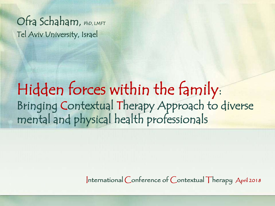Ofra Schaham, PhD, LMFT Tel Aviv University, Israel

### Hidden forces within the family: Bringing Contextual Therapy Approach to diverse mental and physical health professionals

International Conference of Contextual Therapy April 2018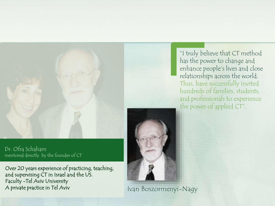

Over 20 years experience of practicing, teaching, and supervising CT in Israel and the US. Faculty -Tel Aviv University A private practice in Tel Aviv Ivan Boszormenyi-Nagy

"I truly believe that CT method has the power to change and enhance people's lives and close relationships across the world. Thus, have successfully invited hundreds of families, students, and professionals to experience the power of applied CT".

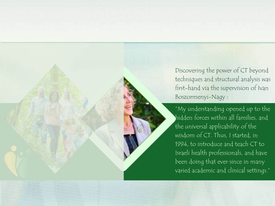Discovering the power of CT beyond techniques and structural analysis was first-hand via the supervision of Ivan Boszormenyi-Nagy :

"My understanding opened up to the hidden forces within all families, and the universal applicability of the wisdom of CT. Thus, I started, in 1994, to introduce and teach CT to Israeli health professionals, and have been doing that ever since in many varied academic and clinical settings."

David Tompson Creative Director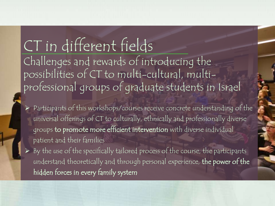CT in different fields Challenges and rewards of introducing the possibilities of CT to multi-cultural, multiprofessional groups of graduate students in Israel

- Participants of this workshops/courses receive concrete understanding of the universal offerings of CT to culturally, ethnically and professionally diverse groups to promote more efficient intervention with diverse individual patient and their families
- $\triangleright$  By the use of the specifically tailored process of the course, the participants understand theoretically and through personal experience, the power of the hidden forces in every family system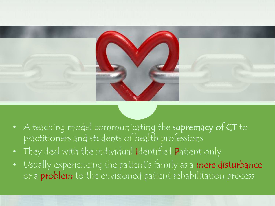

- A teaching model communicating the supremacy of CT to practitioners and students of health professions
- They deal with the individual Identified Patient only
- Usually experiencing the patient's family as a mere disturbance or a **problem** to the envisioned patient rehabilitation process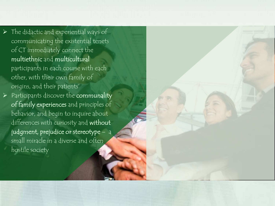- $\triangleright$  The didactic and experiential ways of communicating the existential tenets of CT immediately connect the multiethnic and multicultural participants in each course with each other, with their own family of origins, and their patients'
- $\triangleright$  Participants discover the communality of family experiences and principles of behavior, and begin to inquire about differences with curiosity and without judgment, prejudice or stereotype – a small miracle in a diverse and often hostile society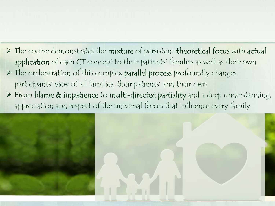$\triangleright$  The course demonstrates the mixture of persistent theoretical focus with actual application of each CT concept to their patients' families as well as their own > The orchestration of this complex parallel process profoundly changes participants' view of all families, their patients' and their own From blame & impatience to multi-directed partiality and a deep understanding, appreciation and respect of the universal forces that influence every family

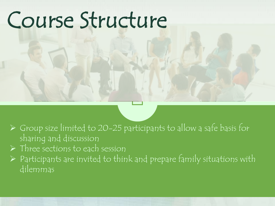## Course Structure

- $\triangleright$  Group size limited to 20-25 participants to allow a safe basis for sharing and discussion
- $\triangleright$  Three sections to each session
- $\triangleright$  Participants are invited to think and prepare family situations with dilemmas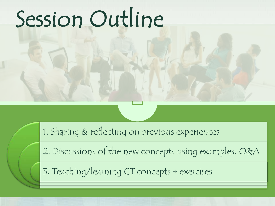# Session Outline

1. Sharing & reflecting on previous experiences

2. Discussions of the new concepts using examples, Q&A

3. Teaching/learning CT concepts + exercises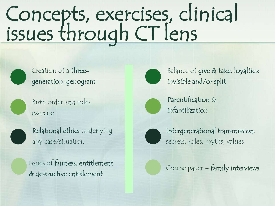### Concepts, exercises, clinical issues through CT lens

Creation of a threegeneration-genogram

Birth order and roles exercise

Relational ethics underlying any case/situation

Issues of fairness, entitlement Bucs of familiess, charactericity<br>& destructive entitlement



Balance of give & take, loyalties: invisible and/or split



Parentification & infantilization



Intergenerational transmission: secrets, roles, myths, values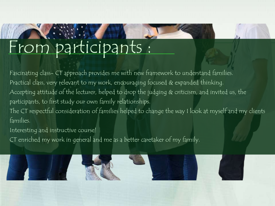## From participants :

Fascinating class- CT approach provides me with new framework to understand families. Practical class, very relevant to my work, encouraging focused & expanded thinking. Accepting attitude of the lecturer, helped to drop the judging & criticism, and invited us, the participants, to first study our own family relationships. The CT respectful consideration of families helped to change the way I look at myself and my clients families.

Interesting and instructive course!

CT enriched my work in general and me as a better caretaker of my family.

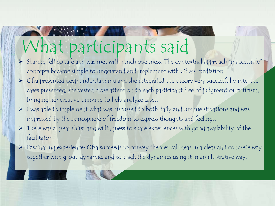### What participants said

- > Sharing felt so safe and was met with much openness. The contextual approach "inaccessible" concepts became simple to understand and implement with Ofra's mediation
- $\triangleright$  Ofra presented deep understanding and she integrated the theory very successfully into the cases presented, she vested close attention to each participant free of judgment or criticism, bringing her creative thinking to help analyze cases.
- $\triangleright$  I was able to implement what was discussed to both daily and unique situations and was impressed by the atmosphere of freedom to express thoughts and feelings.
- $\triangleright$  There was a great thirst and willingness to share experiences with good availability of the facilitator.
- $\triangleright$  Fascinating experience: Ofra succeeds to convey theoretical ideas in a clear and concrete way together with group dynamic, and to track the dynamics using it in an illustrative way.